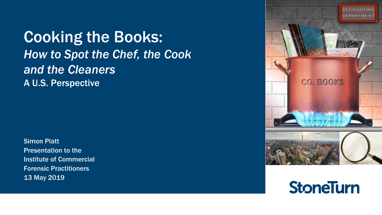Cooking the Books: *How to Spot the Chef, the Cook and the Cleaners* A U.S. Perspective

Simon Platt Presentation to the Institute of Commercial Forensic Practitioners 13 May 2019



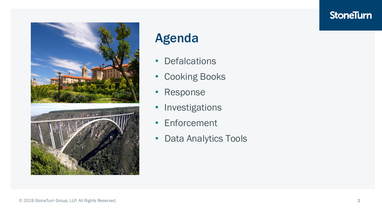

### Agenda

- Defalcations
- Cooking Books
- Response
- Investigations
- Enforcement
- Data Analytics Tools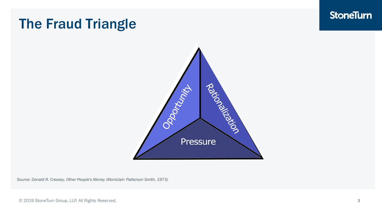### The Fraud Triangle



*Source: Donald R. Cressey, Other People's Money (Montclair: Patterson Smith, 1973)*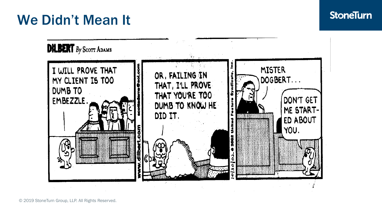## We Didn't Mean It

### **StoneTurn**



© 2019 StoneTurn Group, LLP. All Rights Reserved.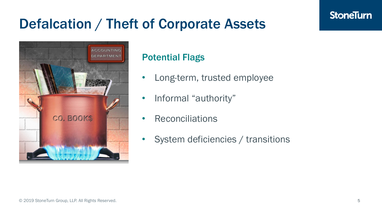## Defalcation / Theft of Corporate Assets



### Potential Flags

- Long-term, trusted employee
- Informal "authority"
- **Reconciliations**
- System deficiencies / transitions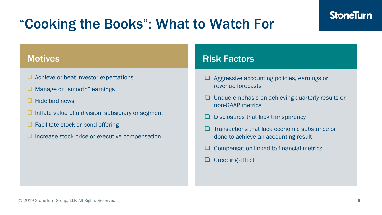# "Cooking the Books": What to Watch For

#### **Motives**

- ❑ Achieve or beat investor expectations
- Manage or "smooth" earnings
- ❑ Hide bad news
- □ Inflate value of a division, subsidiary or segment
- Facilitate stock or bond offering
- ❑ Increase stock price or executive compensation

### Risk Factors

- ❑ Aggressive accounting policies, earnings or revenue forecasts
- ❑ Undue emphasis on achieving quarterly results or non-GAAP metrics
- ❑ Disclosures that lack transparency
- ❑ Transactions that lack economic substance or done to achieve an accounting result
- ❑ Compensation linked to financial metrics
- ❑ Creeping effect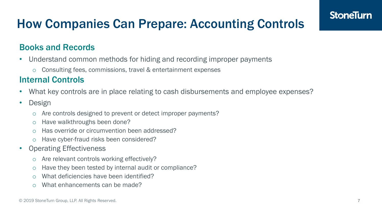### How Companies Can Prepare: Accounting Controls

### Books and Records

- Understand common methods for hiding and recording improper payments
	- o Consulting fees, commissions, travel & entertainment expenses

#### Internal Controls

- What key controls are in place relating to cash disbursements and employee expenses?
- Design
	- o Are controls designed to prevent or detect improper payments?
	- o Have walkthroughs been done?
	- o Has override or circumvention been addressed?
	- o Have cyber-fraud risks been considered?
- **Operating Effectiveness** 
	- o Are relevant controls working effectively?
	- o Have they been tested by internal audit or compliance?
	- o What deficiencies have been identified?
	- o What enhancements can be made?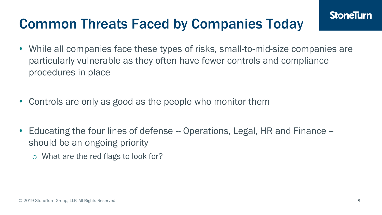## Common Threats Faced by Companies Today

- While all companies face these types of risks, small-to-mid-size companies are particularly vulnerable as they often have fewer controls and compliance procedures in place
- Controls are only as good as the people who monitor them
- Educating the four lines of defense -- Operations, Legal, HR and Finance -should be an ongoing priority
	- o What are the red flags to look for?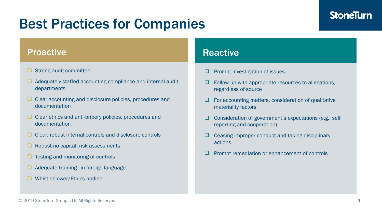### Best Practices for Companies

#### Proactive

- □ Strong audit committee
- ❑ Adequately staffed accounting compliance and internal audit departments
- ❑ Clear accounting and disclosure policies, procedures and documentation
- ❑ Clear ethics and anti-bribery policies, procedures and documentation
- ❑ Clear, robust internal controls and disclosure controls
- ❑ Robust no capital, risk assessments
- ❑ Testing and monitoring of controls
- ❑ Adequate training—in foreign language
- Whistleblower/Ethics hotline

#### **Reactive**

- Prompt investigation of issues
- Follow-up with appropriate resources to allegations, regardless of source
- For accounting matters, consideration of qualitative materiality factors
- ❑ Consideration of government's expectations (e.g., self reporting and cooperation)
- ❑ Ceasing improper conduct and taking disciplinary actions
- Prompt remediation or enhancement of controls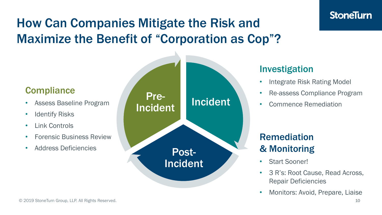## How Can Companies Mitigate the Risk and Maximize the Benefit of "Corporation as Cop"?

### **Compliance**

- Assess Baseline Program
- **Identify Risks**
- Link Controls
- Forensic Business Review
- Address Deficiencies



### Investigation

- Integrate Risk Rating Model
- Re-assess Compliance Program
- Commence Remediation

### Remediation & Monitoring

- Start Sooner!
- 3 R's: Root Cause, Read Across, Repair Deficiencies
- Monitors: Avoid, Prepare, Liaise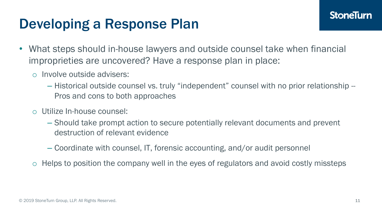## Developing a Response Plan

- What steps should in-house lawyers and outside counsel take when financial improprieties are uncovered? Have a response plan in place:
	- o Involve outside advisers:
		- Historical outside counsel vs. truly "independent" counsel with no prior relationship -- Pros and cons to both approaches
	- o Utilize In-house counsel:
		- Should take prompt action to secure potentially relevant documents and prevent destruction of relevant evidence
		- Coordinate with counsel, IT, forensic accounting, and/or audit personnel
	- o Helps to position the company well in the eyes of regulators and avoid costly missteps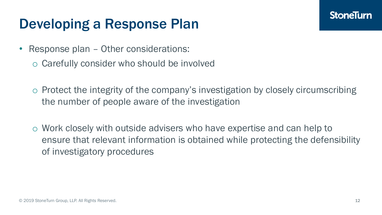## Developing a Response Plan

- Response plan Other considerations:
	- o Carefully consider who should be involved
	- o Protect the integrity of the company's investigation by closely circumscribing the number of people aware of the investigation
	- o Work closely with outside advisers who have expertise and can help to ensure that relevant information is obtained while protecting the defensibility of investigatory procedures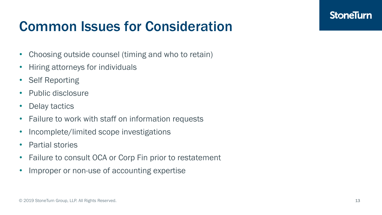## Common Issues for Consideration

- Choosing outside counsel (timing and who to retain)
- Hiring attorneys for individuals
- Self Reporting
- Public disclosure
- Delay tactics
- Failure to work with staff on information requests
- Incomplete/limited scope investigations
- Partial stories
- Failure to consult OCA or Corp Fin prior to restatement
- Improper or non-use of accounting expertise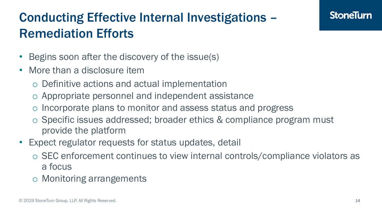## Conducting Effective Internal Investigations – Remediation Efforts

- Begins soon after the discovery of the issue(s)
- More than a disclosure item
	- o Definitive actions and actual implementation
	- o Appropriate personnel and independent assistance
	- o Incorporate plans to monitor and assess status and progress
	- o Specific issues addressed; broader ethics & compliance program must provide the platform
- Expect regulator requests for status updates, detail
	- o SEC enforcement continues to view internal controls/compliance violators as a focus
	- o Monitoring arrangements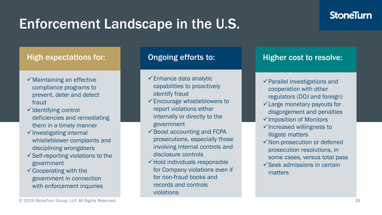## Enforcement Landscape in the U.S.

#### High expectations for:

- ✓Maintaining an effective compliance programs to prevent, deter and detect fraud
- ✓Identifying control deficiencies and remediating them in a timely manner
- $\checkmark$  Investigating internal whistleblower complaints and disciplining wrongdoers
- $\checkmark$  Self-reporting violations to the government
- ✓Cooperating with the government in connection with enforcement inquiries

#### Ongoing efforts to:

- $\checkmark$  Enhance data analytic capabilities to proactively identify fraud
- ✓Encourage whistleblowers to report violations either internally or directly to the government
- $\checkmark$  Boost accounting and FCPA prosecutions, especially those involving internal controls and disclosure controls
- $\checkmark$  Hold individuals responsible for Company violations even if for non-fraud books and records and controls violations

#### Higher cost to resolve:

- ✓Parallel investigations and cooperation with other regulators (DOJ and foreign)
- ✓Large monetary payouts for disgorgement and penalties
- ✓Imposition of Monitors
- ✓Increased willingness to litigate matters
- ✓Non-prosecution or deferred prosecution resolutions, in some cases, versus total pass
- $\checkmark$  Seek admissions in certain matters

© 2019 StoneTurn Group, LLP. All Rights Reserved. 15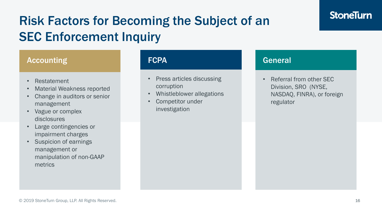## Risk Factors for Becoming the Subject of an SEC Enforcement Inquiry

#### Accounting

- Restatement
- Material Weakness reported
- Change in auditors or senior management
- Vague or complex disclosures
- Large contingencies or impairment charges
- Suspicion of earnings management or manipulation of non-GAAP metrics

#### **FCPA**

- Press articles discussing corruption
- Whistleblower allegations
- Competitor under investigation

#### General

• Referral from other SEC Division, SRO (NYSE, NASDAQ, FINRA), or foreign regulator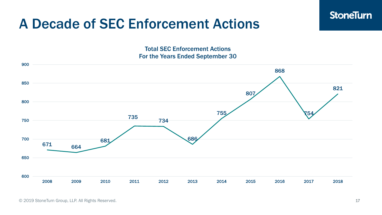### A Decade of SEC Enforcement Actions

Total SEC Enforcement Actions For the Years Ended September 30



© 2019 StoneTurn Group, LLP. All Rights Reserved. 17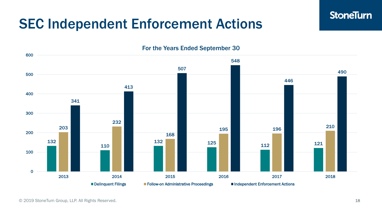### SEC Independent Enforcement Actions

 132 125 125 112 121 121 <sup>196</sup> <sup>210</sup> 2014 2015 2016 2017 2018 For the Years Ended September 30 ■ Delinquent Filings ■ Follow-on Administrative Proceedings ■ Independent Enforcement Actions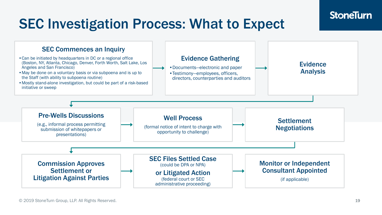## SEC Investigation Process: What to Expect

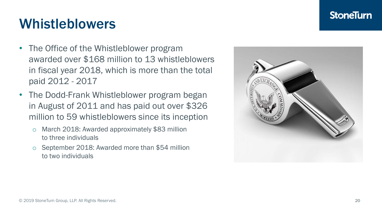#### © 2019 StoneTurn Group, LLP. All Rights Reserved. 20

## Whistleblowers

- The Office of the Whistleblower program awarded over \$168 million to 13 whistleblowers in fiscal year 2018, which is more than the total paid 2012 - 2017
- The Dodd-Frank Whistleblower program began in August of 2011 and has paid out over \$326 million to 59 whistleblowers since its inception
	- o March 2018: Awarded approximately \$83 million to three individuals
	- o September 2018: Awarded more than \$54 million to two individuals

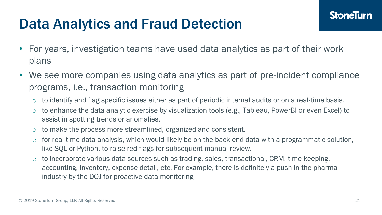## Data Analytics and Fraud Detection

- For years, investigation teams have used data analytics as part of their work plans
- We see more companies using data analytics as part of pre-incident compliance programs, i.e., transaction monitoring
	- o to identify and flag specific issues either as part of periodic internal audits or on a real-time basis.
	- o to enhance the data analytic exercise by visualization tools (e.g., Tableau, PowerBI or even Excel) to assist in spotting trends or anomalies.
	- o to make the process more streamlined, organized and consistent.
	- o for real-time data analysis, which would likely be on the back-end data with a programmatic solution, like SQL or Python, to raise red flags for subsequent manual review.
	- o to incorporate various data sources such as trading, sales, transactional, CRM, time keeping, accounting, inventory, expense detail, etc. For example, there is definitely a push in the pharma industry by the DOJ for proactive data monitoring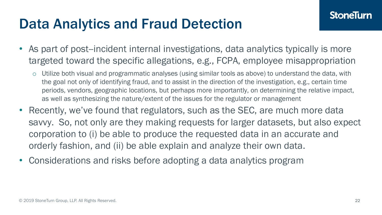## Data Analytics and Fraud Detection

- As part of post--incident internal investigations, data analytics typically is more targeted toward the specific allegations, e.g., FCPA, employee misappropriation
	- o Utilize both visual and programmatic analyses (using similar tools as above) to understand the data, with the goal not only of identifying fraud, and to assist in the direction of the investigation, e.g., certain time periods, vendors, geographic locations, but perhaps more importantly, on determining the relative impact, as well as synthesizing the nature/extent of the issues for the regulator or management
- Recently, we've found that regulators, such as the SEC, are much more data savvy. So, not only are they making requests for larger datasets, but also expect corporation to (i) be able to produce the requested data in an accurate and orderly fashion, and (ii) be able explain and analyze their own data.
- Considerations and risks before adopting a data analytics program